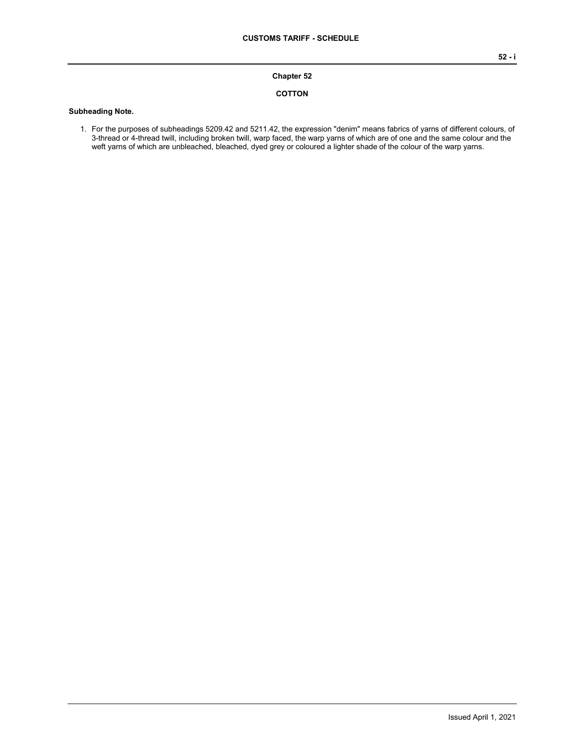#### **Chapter 52**

#### **COTTON**

#### **Subheading Note.**

1. For the purposes of subheadings 5209.42 and 5211.42, the expression "denim" means fabrics of yarns of different colours, of 3-thread or 4-thread twill, including broken twill, warp faced, the warp yarns of which are of one and the same colour and the weft yarns of which are unbleached, bleached, dyed grey or coloured a lighter shade of the colour of the warp yarns.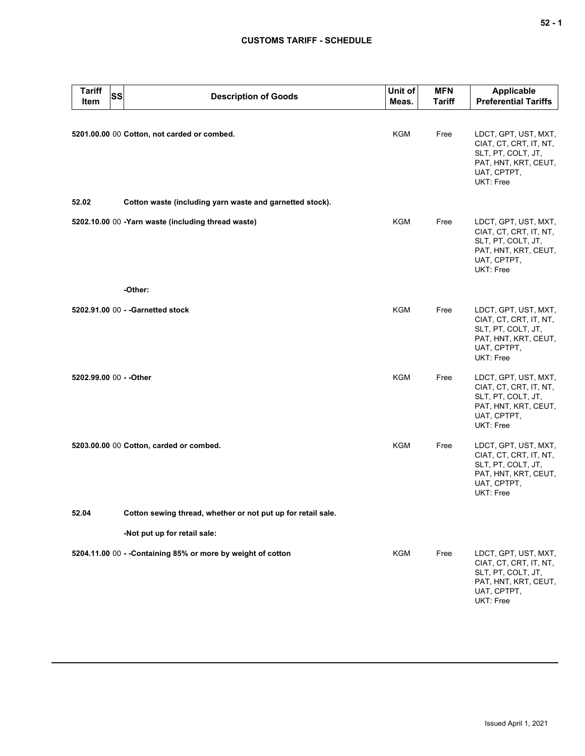| <b>Tariff</b><br>Item   | <b>SS</b> | <b>Description of Goods</b>                                  | Unit of<br>Meas. | <b>MFN</b><br><b>Tariff</b> | <b>Applicable</b><br><b>Preferential Tariffs</b>                                                                         |
|-------------------------|-----------|--------------------------------------------------------------|------------------|-----------------------------|--------------------------------------------------------------------------------------------------------------------------|
|                         |           | 5201.00.00 00 Cotton, not carded or combed.                  | KGM              | Free                        | LDCT, GPT, UST, MXT,<br>CIAT, CT, CRT, IT, NT,<br>SLT, PT, COLT, JT,<br>PAT, HNT, KRT, CEUT,<br>UAT, CPTPT,<br>UKT: Free |
| 52.02                   |           | Cotton waste (including yarn waste and garnetted stock).     |                  |                             |                                                                                                                          |
|                         |           | 5202.10.00 00 -Yarn waste (including thread waste)           | <b>KGM</b>       | Free                        | LDCT, GPT, UST, MXT,<br>CIAT, CT, CRT, IT, NT,<br>SLT, PT, COLT, JT,<br>PAT, HNT, KRT, CEUT,<br>UAT, CPTPT,<br>UKT: Free |
|                         |           | -Other:                                                      |                  |                             |                                                                                                                          |
|                         |           | 5202.91.00 00 - - Garnetted stock                            | <b>KGM</b>       | Free                        | LDCT, GPT, UST, MXT,<br>CIAT, CT, CRT, IT, NT,<br>SLT, PT, COLT, JT,<br>PAT, HNT, KRT, CEUT,<br>UAT, CPTPT,<br>UKT: Free |
| 5202.99.00 00 - - Other |           |                                                              | KGM              | Free                        | LDCT, GPT, UST, MXT,<br>CIAT, CT, CRT, IT, NT,<br>SLT, PT, COLT, JT,<br>PAT, HNT, KRT, CEUT,<br>UAT, CPTPT,<br>UKT: Free |
|                         |           | 5203.00.00 00 Cotton, carded or combed.                      | <b>KGM</b>       | Free                        | LDCT, GPT, UST, MXT,<br>CIAT, CT, CRT, IT, NT,<br>SLT, PT, COLT, JT,<br>PAT, HNT, KRT, CEUT,<br>UAT, CPTPT,<br>UKT: Free |
| 52.04                   |           | Cotton sewing thread, whether or not put up for retail sale. |                  |                             |                                                                                                                          |
|                         |           | -Not put up for retail sale:                                 |                  |                             |                                                                                                                          |
|                         |           | 5204.11.00 00 - - Containing 85% or more by weight of cotton | KGM              | Free                        | LDCT, GPT, UST, MXT,<br>CIAT, CT, CRT, IT, NT,<br>SLT, PT, COLT, JT,<br>PAT, HNT, KRT, CEUT,<br>UAT, CPTPT,<br>UKT: Free |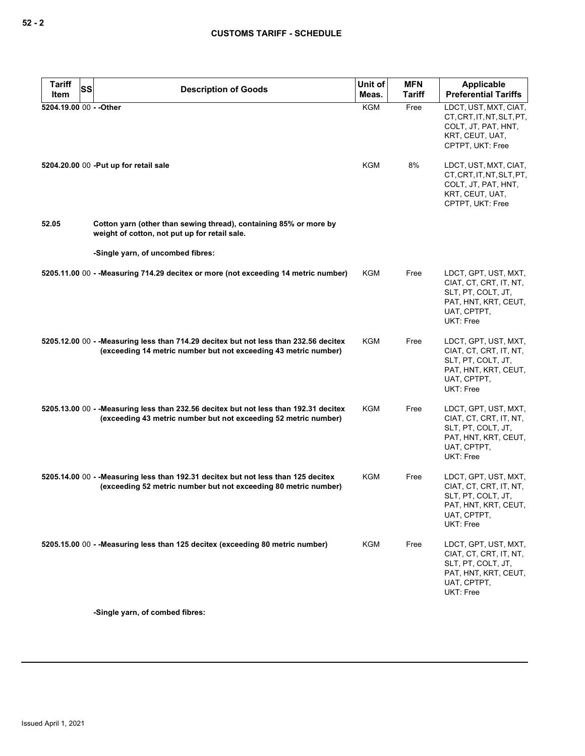| <b>Tariff</b><br>Item   | SS | <b>Description of Goods</b>                                                                                                                              | Unit of<br>Meas. | <b>MFN</b><br>Tariff | Applicable<br><b>Preferential Tariffs</b>                                                                                |
|-------------------------|----|----------------------------------------------------------------------------------------------------------------------------------------------------------|------------------|----------------------|--------------------------------------------------------------------------------------------------------------------------|
| 5204.19.00 00 - - Other |    |                                                                                                                                                          | <b>KGM</b>       | Free                 | LDCT, UST, MXT, CIAT,<br>CT, CRT, IT, NT, SLT, PT,<br>COLT, JT, PAT, HNT,<br>KRT, CEUT, UAT,<br>CPTPT, UKT: Free         |
|                         |    | 5204.20.00 00 - Put up for retail sale                                                                                                                   | KGM              | 8%                   | LDCT, UST, MXT, CIAT,<br>CT.CRT.IT.NT.SLT.PT.<br>COLT, JT, PAT, HNT,<br>KRT, CEUT, UAT,<br>CPTPT, UKT: Free              |
| 52.05                   |    | Cotton yarn (other than sewing thread), containing 85% or more by<br>weight of cotton, not put up for retail sale.                                       |                  |                      |                                                                                                                          |
|                         |    | -Single yarn, of uncombed fibres:                                                                                                                        |                  |                      |                                                                                                                          |
|                         |    | 5205.11.00 00 - - Measuring 714.29 decitex or more (not exceeding 14 metric number)                                                                      | <b>KGM</b>       | Free                 | LDCT, GPT, UST, MXT,<br>CIAT, CT, CRT, IT, NT,<br>SLT, PT, COLT, JT,<br>PAT, HNT, KRT, CEUT,<br>UAT, CPTPT,<br>UKT: Free |
|                         |    | 5205.12.00 00 - - Measuring less than 714.29 decitex but not less than 232.56 decitex<br>(exceeding 14 metric number but not exceeding 43 metric number) | <b>KGM</b>       | Free                 | LDCT, GPT, UST, MXT,<br>CIAT, CT, CRT, IT, NT,<br>SLT, PT, COLT, JT,<br>PAT, HNT, KRT, CEUT,<br>UAT, CPTPT,<br>UKT: Free |
|                         |    | 5205.13.00 00 - - Measuring less than 232.56 decitex but not less than 192.31 decitex<br>(exceeding 43 metric number but not exceeding 52 metric number) | KGM              | Free                 | LDCT, GPT, UST, MXT,<br>CIAT, CT, CRT, IT, NT,<br>SLT, PT, COLT, JT,<br>PAT, HNT, KRT, CEUT,<br>UAT, CPTPT,<br>UKT: Free |
|                         |    | 5205.14.00 00 - - Measuring less than 192.31 decitex but not less than 125 decitex<br>(exceeding 52 metric number but not exceeding 80 metric number)    | KGM              | Free                 | LDCT, GPT, UST, MXT,<br>CIAT, CT, CRT, IT, NT,<br>SLT, PT, COLT, JT,<br>PAT, HNT, KRT, CEUT,<br>UAT, CPTPT,<br>UKT: Free |
|                         |    | 5205.15.00 00 - - Measuring less than 125 decitex (exceeding 80 metric number)                                                                           | <b>KGM</b>       | Free                 | LDCT, GPT, UST, MXT,<br>CIAT, CT, CRT, IT, NT,<br>SLT, PT, COLT, JT,<br>PAT, HNT, KRT, CEUT,<br>UAT, CPTPT,<br>UKT: Free |

**-Single yarn, of combed fibres:**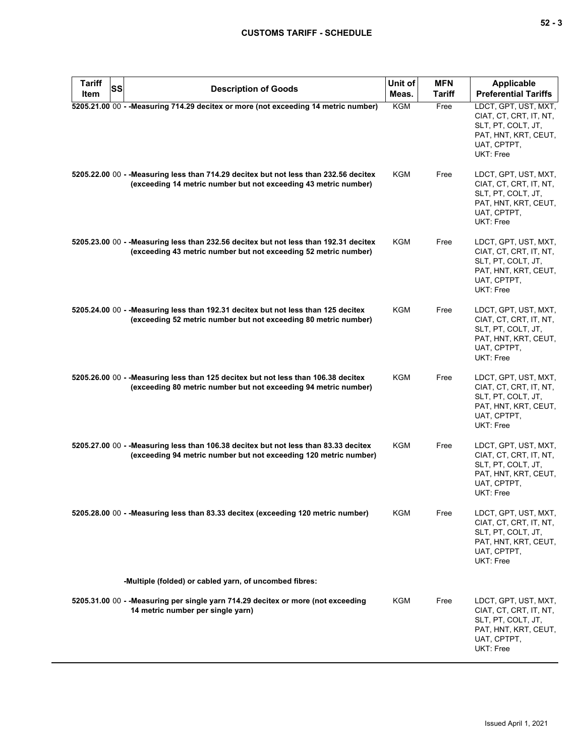| Tariff<br>SS<br>Item | <b>Description of Goods</b>                                                                                                                              | Unit of<br>Meas. | <b>MFN</b><br><b>Tariff</b> | <b>Applicable</b><br><b>Preferential Tariffs</b>                                                                         |
|----------------------|----------------------------------------------------------------------------------------------------------------------------------------------------------|------------------|-----------------------------|--------------------------------------------------------------------------------------------------------------------------|
|                      | 5205.21.00 00 - - Measuring 714.29 decitex or more (not exceeding 14 metric number)                                                                      | KGM              | Free                        | LDCT, GPT, UST, MXT,<br>CIAT, CT, CRT, IT, NT,<br>SLT, PT, COLT, JT,<br>PAT, HNT, KRT, CEUT,                             |
|                      | 5205.22.00 00 - -Measuring less than 714.29 decitex but not less than 232.56 decitex                                                                     | KGM              | Free                        | UAT, CPTPT,<br>UKT: Free<br>LDCT, GPT, UST, MXT,                                                                         |
|                      | (exceeding 14 metric number but not exceeding 43 metric number)                                                                                          |                  |                             | CIAT, CT, CRT, IT, NT,<br>SLT, PT, COLT, JT,<br>PAT, HNT, KRT, CEUT,<br>UAT, CPTPT,<br>UKT: Free                         |
|                      | 5205.23.00 00 - - Measuring less than 232.56 decitex but not less than 192.31 decitex<br>(exceeding 43 metric number but not exceeding 52 metric number) | KGM              | Free                        | LDCT, GPT, UST, MXT,<br>CIAT, CT, CRT, IT, NT,<br>SLT, PT, COLT, JT,<br>PAT, HNT, KRT, CEUT,<br>UAT, CPTPT,<br>UKT: Free |
|                      | 5205.24.00 00 - - Measuring less than 192.31 decitex but not less than 125 decitex<br>(exceeding 52 metric number but not exceeding 80 metric number)    | KGM              | Free                        | LDCT, GPT, UST, MXT,<br>CIAT, CT, CRT, IT, NT,<br>SLT, PT, COLT, JT,<br>PAT, HNT, KRT, CEUT,<br>UAT, CPTPT,<br>UKT: Free |
|                      | 5205.26.00 00 - -Measuring less than 125 decitex but not less than 106.38 decitex<br>(exceeding 80 metric number but not exceeding 94 metric number)     | <b>KGM</b>       | Free                        | LDCT, GPT, UST, MXT,<br>CIAT, CT, CRT, IT, NT,<br>SLT, PT, COLT, JT,<br>PAT, HNT, KRT, CEUT,<br>UAT, CPTPT,<br>UKT: Free |
|                      | 5205.27.00 00 - - Measuring less than 106.38 decitex but not less than 83.33 decitex<br>(exceeding 94 metric number but not exceeding 120 metric number) | KGM              | Free                        | LDCT, GPT, UST, MXT,<br>CIAT, CT, CRT, IT, NT,<br>SLT, PT, COLT, JT,<br>PAT, HNT, KRT, CEUT,<br>UAT, CPTPT,<br>UKT: Free |
|                      | 5205.28.00 00 - - Measuring less than 83.33 decitex (exceeding 120 metric number)                                                                        | <b>KGM</b>       | Free                        | LDCT, GPT, UST, MXT,<br>CIAT, CT, CRT, IT, NT,<br>SLT, PT, COLT, JT,<br>PAT, HNT, KRT, CEUT,<br>UAT, CPTPT,<br>UKT: Free |
|                      | -Multiple (folded) or cabled yarn, of uncombed fibres:                                                                                                   |                  |                             |                                                                                                                          |
|                      | 5205.31.00 00 - - Measuring per single yarn 714.29 decitex or more (not exceeding<br>14 metric number per single yarn)                                   | KGM              | Free                        | LDCT, GPT, UST, MXT,<br>CIAT, CT, CRT, IT, NT,<br>SLT, PT, COLT, JT,<br>PAT, HNT, KRT, CEUT,<br>UAT, CPTPT,<br>UKT: Free |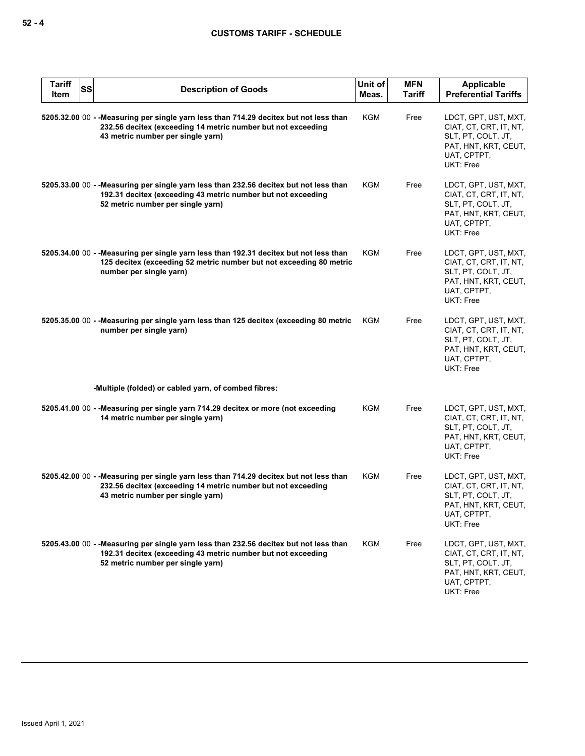| <b>Tariff</b><br><b>SS</b><br>Item | <b>Description of Goods</b>                                                                                                                                                                 | Unit of<br>Meas. | <b>MFN</b><br><b>Tariff</b> | Applicable<br><b>Preferential Tariffs</b>                                                                                       |
|------------------------------------|---------------------------------------------------------------------------------------------------------------------------------------------------------------------------------------------|------------------|-----------------------------|---------------------------------------------------------------------------------------------------------------------------------|
|                                    | 5205.32.00 00 - - Measuring per single yarn less than 714.29 decitex but not less than<br>232.56 decitex (exceeding 14 metric number but not exceeding<br>43 metric number per single yarn) | <b>KGM</b>       | Free                        | LDCT, GPT, UST, MXT,<br>CIAT, CT, CRT, IT, NT,<br>SLT, PT, COLT, JT,<br>PAT, HNT, KRT, CEUT,<br>UAT, CPTPT,<br>UKT: Free        |
|                                    | 5205.33.00 00 - - Measuring per single yarn less than 232.56 decitex but not less than<br>192.31 decitex (exceeding 43 metric number but not exceeding<br>52 metric number per single yarn) | KGM              | Free                        | LDCT, GPT, UST, MXT,<br>CIAT, CT, CRT, IT, NT,<br>SLT, PT, COLT, JT,<br>PAT, HNT, KRT, CEUT,<br>UAT, CPTPT,<br>UKT: Free        |
|                                    | 5205.34.00 00 - - Measuring per single yarn less than 192.31 decitex but not less than<br>125 decitex (exceeding 52 metric number but not exceeding 80 metric<br>number per single yarn)    | KGM              | Free                        | LDCT, GPT, UST, MXT,<br>CIAT, CT, CRT, IT, NT,<br>SLT, PT, COLT, JT,<br>PAT, HNT, KRT, CEUT,<br>UAT, CPTPT,<br>UKT: Free        |
|                                    | 5205.35.00 00 - - Measuring per single yarn less than 125 decitex (exceeding 80 metric<br>number per single yarn)                                                                           | KGM              | Free                        | LDCT, GPT, UST, MXT,<br>CIAT, CT, CRT, IT, NT,<br>SLT, PT, COLT, JT,<br>PAT, HNT, KRT, CEUT,<br>UAT, CPTPT,<br>UKT: Free        |
|                                    | -Multiple (folded) or cabled yarn, of combed fibres:                                                                                                                                        |                  |                             |                                                                                                                                 |
|                                    | 5205.41.00 00 - - Measuring per single yarn 714.29 decitex or more (not exceeding<br>14 metric number per single yarn)                                                                      | KGM              | Free                        | LDCT, GPT, UST, MXT,<br>CIAT, CT, CRT, IT, NT,<br>SLT, PT, COLT, JT,<br>PAT, HNT, KRT, CEUT,<br>UAT, CPTPT,<br>UKT: Free        |
|                                    | 5205.42.00 00 - - Measuring per single yarn less than 714.29 decitex but not less than<br>232.56 decitex (exceeding 14 metric number but not exceeding<br>43 metric number per single yarn) | KGM              | Free                        | LDCT, GPT, UST, MXT,<br>CIAT, CT, CRT, IT, NT,<br>SLT, PT, COLT, JT,<br>PAT, HNT, KRT, CEUT,<br>UAT, CPTPT,<br><b>UKT: Free</b> |
|                                    | 5205.43.00 00 - - Measuring per single yarn less than 232.56 decitex but not less than<br>192.31 decitex (exceeding 43 metric number but not exceeding<br>52 metric number per single yarn) | KGM              | Free                        | LDCT, GPT, UST, MXT,<br>CIAT, CT, CRT, IT, NT,<br>SLT, PT, COLT, JT,<br>PAT, HNT, KRT, CEUT,<br>UAT, CPTPT,<br>UKT: Free        |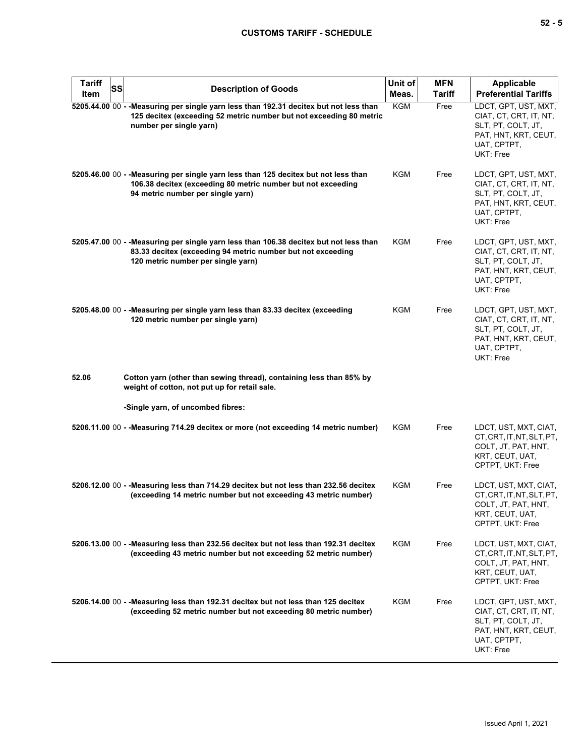| <b>Tariff</b><br>Item | <b>SS</b> | <b>Description of Goods</b>                                                                                                                                                                 | Unit of<br>Meas. | <b>MFN</b><br><b>Tariff</b> | <b>Applicable</b><br><b>Preferential Tariffs</b>                                                                         |
|-----------------------|-----------|---------------------------------------------------------------------------------------------------------------------------------------------------------------------------------------------|------------------|-----------------------------|--------------------------------------------------------------------------------------------------------------------------|
|                       |           | 5205.44.00 00 - - Measuring per single yarn less than 192.31 decitex but not less than<br>125 decitex (exceeding 52 metric number but not exceeding 80 metric<br>number per single yarn)    | <b>KGM</b>       | Free                        | LDCT, GPT, UST, MXT,<br>CIAT, CT, CRT, IT, NT,<br>SLT, PT, COLT, JT,<br>PAT, HNT, KRT, CEUT,<br>UAT, CPTPT,<br>UKT: Free |
|                       |           | 5205.46.00 00 - - Measuring per single yarn less than 125 decitex but not less than<br>106.38 decitex (exceeding 80 metric number but not exceeding<br>94 metric number per single yarn)    | KGM              | Free                        | LDCT, GPT, UST, MXT,<br>CIAT, CT, CRT, IT, NT,<br>SLT, PT, COLT, JT,<br>PAT, HNT, KRT, CEUT,<br>UAT, CPTPT,<br>UKT: Free |
|                       |           | 5205.47.00 00 - - Measuring per single yarn less than 106.38 decitex but not less than<br>83.33 decitex (exceeding 94 metric number but not exceeding<br>120 metric number per single yarn) | KGM              | Free                        | LDCT, GPT, UST, MXT,<br>CIAT, CT, CRT, IT, NT,<br>SLT, PT, COLT, JT,<br>PAT, HNT, KRT, CEUT,<br>UAT, CPTPT,<br>UKT: Free |
|                       |           | 5205.48.00 00 - - Measuring per single yarn less than 83.33 decitex (exceeding<br>120 metric number per single yarn)                                                                        | KGM              | Free                        | LDCT, GPT, UST, MXT,<br>CIAT, CT, CRT, IT, NT,<br>SLT, PT, COLT, JT,<br>PAT, HNT, KRT, CEUT,<br>UAT, CPTPT,<br>UKT: Free |
| 52.06                 |           | Cotton yarn (other than sewing thread), containing less than 85% by<br>weight of cotton, not put up for retail sale.                                                                        |                  |                             |                                                                                                                          |
|                       |           | -Single yarn, of uncombed fibres:                                                                                                                                                           |                  |                             |                                                                                                                          |
|                       |           | 5206.11.00 00 - - Measuring 714.29 decitex or more (not exceeding 14 metric number)                                                                                                         | <b>KGM</b>       | Free                        | LDCT, UST, MXT, CIAT,<br>CT, CRT, IT, NT, SLT, PT,<br>COLT, JT, PAT, HNT,<br>KRT, CEUT, UAT,<br>CPTPT, UKT: Free         |
|                       |           | 5206.12.00 00 - - Measuring less than 714.29 decitex but not less than 232.56 decitex<br>(exceeding 14 metric number but not exceeding 43 metric number)                                    | <b>KGM</b>       | Free                        | LDCT, UST, MXT, CIAT,<br>CT.CRT.IT.NT.SLT.PT.<br>COLI, JI, PAI, HNI,<br>KRT, CEUT, UAT,<br>CPTPT, UKT: Free              |
|                       |           | 5206.13.00 00 - - Measuring less than 232.56 decitex but not less than 192.31 decitex<br>(exceeding 43 metric number but not exceeding 52 metric number)                                    | KGM              | Free                        | LDCT, UST, MXT, CIAT,<br>CT, CRT, IT, NT, SLT, PT,<br>COLT, JT, PAT, HNT,<br>KRT, CEUT, UAT,<br>CPTPT, UKT: Free         |
|                       |           | 5206.14.00 00 - - Measuring less than 192.31 decitex but not less than 125 decitex<br>(exceeding 52 metric number but not exceeding 80 metric number)                                       | <b>KGM</b>       | Free                        | LDCT, GPT, UST, MXT,<br>CIAT, CT, CRT, IT, NT,<br>SLT, PT, COLT, JT,<br>PAT, HNT, KRT, CEUT,<br>UAT, CPTPT,<br>UKT: Free |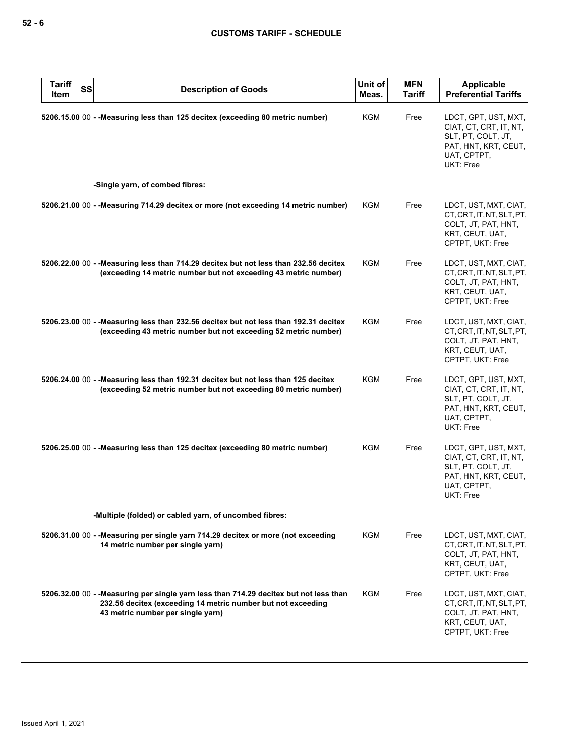| <b>Tariff</b><br><b>SS</b><br>Item | <b>Description of Goods</b>                                                                                                                                                                 | Unit of<br>Meas. | <b>MFN</b><br><b>Tariff</b> | <b>Applicable</b><br><b>Preferential Tariffs</b>                                                                         |
|------------------------------------|---------------------------------------------------------------------------------------------------------------------------------------------------------------------------------------------|------------------|-----------------------------|--------------------------------------------------------------------------------------------------------------------------|
|                                    | 5206.15.00 00 - - Measuring less than 125 decitex (exceeding 80 metric number)                                                                                                              | KGM              | Free                        | LDCT, GPT, UST, MXT,<br>CIAT, CT, CRT, IT, NT,<br>SLT, PT, COLT, JT,<br>PAT, HNT, KRT, CEUT,<br>UAT, CPTPT,<br>UKT: Free |
|                                    | -Single yarn, of combed fibres:                                                                                                                                                             |                  |                             |                                                                                                                          |
|                                    | 5206.21.00 00 - - Measuring 714.29 decitex or more (not exceeding 14 metric number)                                                                                                         | KGM              | Free                        | LDCT, UST, MXT, CIAT,<br>CT, CRT, IT, NT, SLT, PT,<br>COLT, JT, PAT, HNT,<br>KRT, CEUT, UAT,<br>CPTPT, UKT: Free         |
|                                    | 5206.22.00 00 - - Measuring less than 714.29 decitex but not less than 232.56 decitex<br>(exceeding 14 metric number but not exceeding 43 metric number)                                    | KGM              | Free                        | LDCT, UST, MXT, CIAT,<br>CT, CRT, IT, NT, SLT, PT,<br>COLT, JT, PAT, HNT,<br>KRT, CEUT, UAT,<br>CPTPT, UKT: Free         |
|                                    | 5206.23.00 00 - - Measuring less than 232.56 decitex but not less than 192.31 decitex<br>(exceeding 43 metric number but not exceeding 52 metric number)                                    | <b>KGM</b>       | Free                        | LDCT, UST, MXT, CIAT,<br>CT, CRT, IT, NT, SLT, PT,<br>COLT, JT, PAT, HNT,<br>KRT, CEUT, UAT,<br>CPTPT, UKT: Free         |
|                                    | 5206.24.00 00 - - Measuring less than 192.31 decitex but not less than 125 decitex<br>(exceeding 52 metric number but not exceeding 80 metric number)                                       | <b>KGM</b>       | Free                        | LDCT, GPT, UST, MXT,<br>CIAT, CT, CRT, IT, NT,<br>SLT, PT, COLT, JT,<br>PAT, HNT, KRT, CEUT,<br>UAT, CPTPT,<br>UKT: Free |
|                                    | 5206.25.00 00 - - Measuring less than 125 decitex (exceeding 80 metric number)                                                                                                              | KGM              | Free                        | LDCT, GPT, UST, MXT,<br>CIAT, CT, CRT, IT, NT,<br>SLT, PT, COLT, JT,<br>PAT, HNT, KRT, CEUT,<br>UAT, CPTPT,<br>UKT: Free |
|                                    | -Multiple (folded) or cabled yarn, of uncombed fibres:                                                                                                                                      |                  |                             |                                                                                                                          |
|                                    | 5206.31.00 00 - - Measuring per single yarn 714.29 decitex or more (not exceeding<br>14 metric number per single yarn)                                                                      | KGM              | Free                        | LDCT, UST, MXT, CIAT,<br>CT.CRT.IT.NT.SLT.PT.<br>COLT, JT, PAT, HNT,<br>KRT, CEUT, UAT,<br>CPTPT, UKT: Free              |
|                                    | 5206.32.00 00 - - Measuring per single yarn less than 714.29 decitex but not less than<br>232.56 decitex (exceeding 14 metric number but not exceeding<br>43 metric number per single yarn) | KGM              | Free                        | LDCT, UST, MXT, CIAT,<br>CT.CRT.IT.NT.SLT.PT.<br>COLT, JT, PAT, HNT,<br>KRT, CEUT, UAT,<br>CPTPT, UKT: Free              |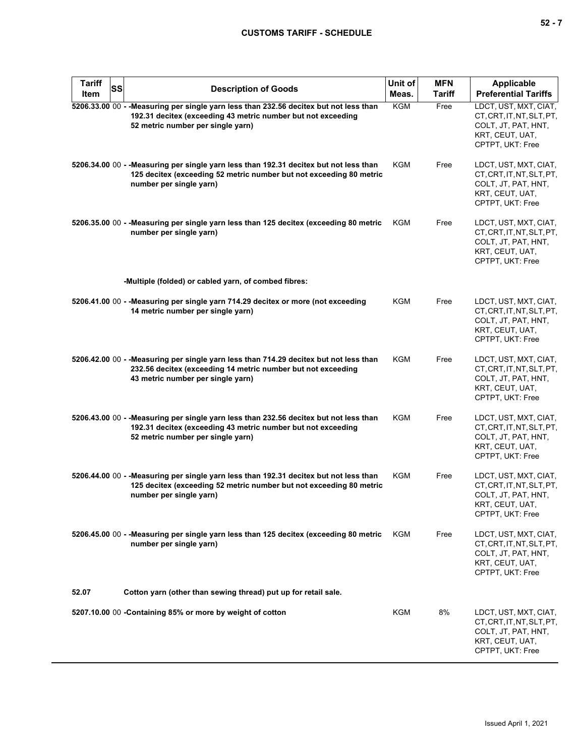| <b>Tariff</b><br>Item | SS | <b>Description of Goods</b>                                                                                                                                                                 | Unit of<br>Meas. | <b>MFN</b><br><b>Tariff</b> | <b>Applicable</b><br><b>Preferential Tariffs</b>                                                                 |
|-----------------------|----|---------------------------------------------------------------------------------------------------------------------------------------------------------------------------------------------|------------------|-----------------------------|------------------------------------------------------------------------------------------------------------------|
|                       |    | 5206.33.00 00 - - Measuring per single yarn less than 232.56 decitex but not less than<br>192.31 decitex (exceeding 43 metric number but not exceeding<br>52 metric number per single yarn) | KGM              | Free                        | LDCT, UST, MXT, CIAT,<br>CT, CRT, IT, NT, SLT, PT,<br>COLT, JT, PAT, HNT,<br>KRT, CEUT, UAT,<br>CPTPT, UKT: Free |
|                       |    | 5206.34.00 00 - - Measuring per single yarn less than 192.31 decitex but not less than<br>125 decitex (exceeding 52 metric number but not exceeding 80 metric<br>number per single yarn)    | KGM              | Free                        | LDCT, UST, MXT, CIAT,<br>CT, CRT, IT, NT, SLT, PT,<br>COLT, JT, PAT, HNT,<br>KRT, CEUT, UAT,<br>CPTPT, UKT: Free |
|                       |    | 5206.35.00 00 - - Measuring per single yarn less than 125 decitex (exceeding 80 metric<br>number per single yarn)                                                                           | KGM              | Free                        | LDCT, UST, MXT, CIAT,<br>CT, CRT, IT, NT, SLT, PT,<br>COLT, JT, PAT, HNT,<br>KRT, CEUT, UAT,<br>CPTPT, UKT: Free |
|                       |    | -Multiple (folded) or cabled yarn, of combed fibres:                                                                                                                                        |                  |                             |                                                                                                                  |
|                       |    | 5206.41.00 00 - - Measuring per single yarn 714.29 decitex or more (not exceeding<br>14 metric number per single yarn)                                                                      | KGM              | Free                        | LDCT, UST, MXT, CIAT,<br>CT, CRT, IT, NT, SLT, PT,<br>COLT, JT, PAT, HNT,<br>KRT, CEUT, UAT,<br>CPTPT, UKT: Free |
|                       |    | 5206.42.00 00 - - Measuring per single yarn less than 714.29 decitex but not less than<br>232.56 decitex (exceeding 14 metric number but not exceeding<br>43 metric number per single yarn) | <b>KGM</b>       | Free                        | LDCT, UST, MXT, CIAT,<br>CT, CRT, IT, NT, SLT, PT,<br>COLT, JT, PAT, HNT,<br>KRT, CEUT, UAT,<br>CPTPT, UKT: Free |
|                       |    | 5206.43.00 00 - - Measuring per single yarn less than 232.56 decitex but not less than<br>192.31 decitex (exceeding 43 metric number but not exceeding<br>52 metric number per single yarn) | KGM              | Free                        | LDCT, UST, MXT, CIAT,<br>CT, CRT, IT, NT, SLT, PT,<br>COLT, JT, PAT, HNT,<br>KRT, CEUT, UAT,<br>CPTPT, UKT: Free |
|                       |    | 5206.44.00 00 - - Measuring per single yarn less than 192.31 decitex but not less than<br>125 decitex (exceeding 52 metric number but not exceeding 80 metric<br>number per single yarn)    | KGM              | Free                        | LDCT, UST, MXT, CIAT,<br>CT, CRT, IT, NT, SLT, PT,<br>COLT, JT, PAT, HNT,<br>KRT, CEUT, UAT,<br>CPTPT, UKT: Free |
|                       |    | 5206.45.00 00 - - Measuring per single yarn less than 125 decitex (exceeding 80 metric<br>number per single yarn)                                                                           | KGM              | Free                        | LDCT, UST, MXT, CIAT,<br>CT, CRT, IT, NT, SLT, PT,<br>COLT, JT, PAT, HNT,<br>KRT, CEUT, UAT,<br>CPTPT, UKT: Free |
| 52.07                 |    | Cotton yarn (other than sewing thread) put up for retail sale.                                                                                                                              |                  |                             |                                                                                                                  |
|                       |    | 5207.10.00 00 -Containing 85% or more by weight of cotton                                                                                                                                   | KGM              | 8%                          | LDCT, UST, MXT, CIAT,<br>CT, CRT, IT, NT, SLT, PT,<br>COLT, JT, PAT, HNT,<br>KRT, CEUT, UAT,<br>CPTPT, UKT: Free |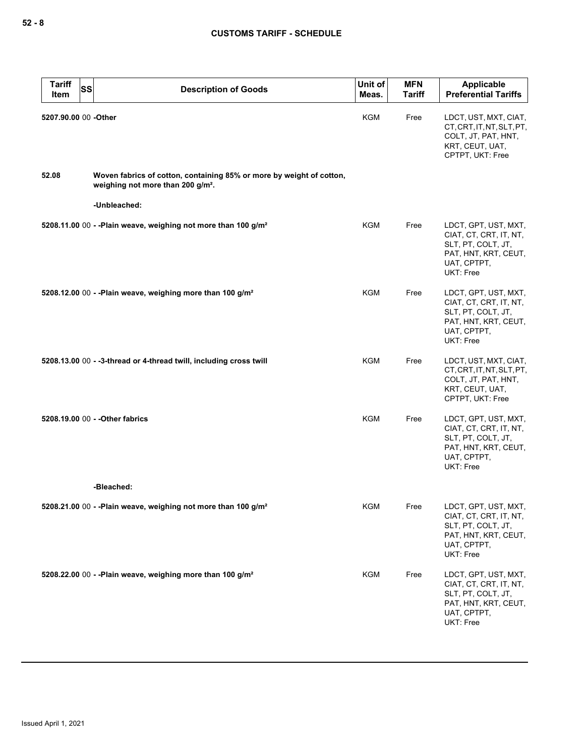| <b>Tariff</b><br><b>SS</b><br>Item | <b>Description of Goods</b>                                                                                           | Unit of<br>Meas. | <b>MFN</b><br><b>Tariff</b> | <b>Applicable</b><br><b>Preferential Tariffs</b>                                                                         |
|------------------------------------|-----------------------------------------------------------------------------------------------------------------------|------------------|-----------------------------|--------------------------------------------------------------------------------------------------------------------------|
| 5207.90.00 00 -Other               |                                                                                                                       | KGM              | Free                        | LDCT, UST, MXT, CIAT,<br>CT, CRT, IT, NT, SLT, PT,<br>COLT, JT, PAT, HNT,<br>KRT, CEUT, UAT,<br>CPTPT, UKT: Free         |
| 52.08                              | Woven fabrics of cotton, containing 85% or more by weight of cotton,<br>weighing not more than 200 g/m <sup>2</sup> . |                  |                             |                                                                                                                          |
|                                    | -Unbleached:                                                                                                          |                  |                             |                                                                                                                          |
|                                    | 5208.11.00 00 - - Plain weave, weighing not more than 100 g/m <sup>2</sup>                                            | KGM              | Free                        | LDCT, GPT, UST, MXT,<br>CIAT, CT, CRT, IT, NT,<br>SLT, PT, COLT, JT,<br>PAT, HNT, KRT, CEUT,<br>UAT, CPTPT,<br>UKT: Free |
|                                    | 5208.12.00 00 - - Plain weave, weighing more than 100 g/m <sup>2</sup>                                                | <b>KGM</b>       | Free                        | LDCT, GPT, UST, MXT,<br>CIAT, CT, CRT, IT, NT,<br>SLT, PT, COLT, JT,<br>PAT, HNT, KRT, CEUT,<br>UAT, CPTPT,<br>UKT: Free |
|                                    | 5208.13.00 00 - -3-thread or 4-thread twill, including cross twill                                                    | KGM              | Free                        | LDCT, UST, MXT, CIAT,<br>CT, CRT, IT, NT, SLT, PT,<br>COLT, JT, PAT, HNT,<br>KRT, CEUT, UAT,<br>CPTPT, UKT: Free         |
|                                    | 5208.19.00 00 - - Other fabrics                                                                                       | <b>KGM</b>       | Free                        | LDCT, GPT, UST, MXT,<br>CIAT, CT, CRT, IT, NT,<br>SLT, PT, COLT, JT,<br>PAT, HNT, KRT, CEUT,<br>UAT, CPTPT,<br>UKT: Free |
|                                    | -Bleached:                                                                                                            |                  |                             |                                                                                                                          |
|                                    | 5208.21.00 00 - - Plain weave, weighing not more than 100 g/m <sup>2</sup>                                            | KGM              | Free                        | LDCT, GPT, UST, MXT,<br>CIAT, CT, CRT, IT, NT,<br>SLT, PT, COLT, JT,<br>PAT, HNT, KRT, CEUT,<br>UAT, CPTPT,<br>UKT: Free |
|                                    | 5208.22.00 00 - - Plain weave, weighing more than 100 g/m <sup>2</sup>                                                | <b>KGM</b>       | Free                        | LDCT, GPT, UST, MXT,<br>CIAT, CT, CRT, IT, NT,<br>SLT, PT, COLT, JT,<br>PAT, HNT, KRT, CEUT,<br>UAT, CPTPT,<br>UKT: Free |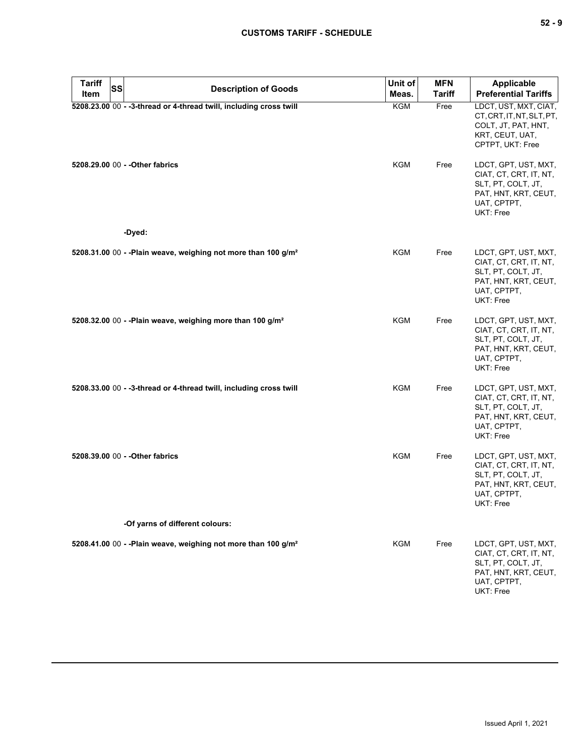| <b>Tariff</b><br>Item | <b>SS</b> | <b>Description of Goods</b>                                                | Unit of<br>Meas. | <b>MFN</b><br><b>Tariff</b> | <b>Applicable</b><br><b>Preferential Tariffs</b>                                                                         |
|-----------------------|-----------|----------------------------------------------------------------------------|------------------|-----------------------------|--------------------------------------------------------------------------------------------------------------------------|
|                       |           | 5208.23.00 00 - -3-thread or 4-thread twill, including cross twill         | KGM              | Free                        | LDCT, UST, MXT, CIAT,<br>CT, CRT, IT, NT, SLT, PT,<br>COLT, JT, PAT, HNT,<br>KRT, CEUT, UAT,<br>CPTPT, UKT: Free         |
|                       |           | 5208.29.00 00 - - Other fabrics                                            | <b>KGM</b>       | Free                        | LDCT, GPT, UST, MXT,<br>CIAT, CT, CRT, IT, NT,<br>SLT, PT, COLT, JT,<br>PAT, HNT, KRT, CEUT,<br>UAT, CPTPT,<br>UKT: Free |
|                       |           | -Dyed:                                                                     |                  |                             |                                                                                                                          |
|                       |           | 5208.31.00 00 - - Plain weave, weighing not more than 100 g/m <sup>2</sup> | KGM              | Free                        | LDCT, GPT, UST, MXT,<br>CIAT, CT, CRT, IT, NT,<br>SLT, PT, COLT, JT,<br>PAT, HNT, KRT, CEUT,<br>UAT, CPTPT,<br>UKT: Free |
|                       |           | 5208.32.00 00 - - Plain weave, weighing more than 100 g/m <sup>2</sup>     | KGM              | Free                        | LDCT, GPT, UST, MXT,<br>CIAT, CT, CRT, IT, NT,<br>SLT, PT, COLT, JT,<br>PAT, HNT, KRT, CEUT,<br>UAT, CPTPT,<br>UKT: Free |
|                       |           | 5208.33.00 00 - -3-thread or 4-thread twill, including cross twill         | <b>KGM</b>       | Free                        | LDCT, GPT, UST, MXT,<br>CIAT, CT, CRT, IT, NT,<br>SLT, PT, COLT, JT,<br>PAT, HNT, KRT, CEUT,<br>UAT, CPTPT,<br>UKT: Free |
|                       |           | 5208.39.00 00 - - Other fabrics                                            | <b>KGM</b>       | Free                        | LDCT, GPT, UST, MXT,<br>CIAT, CT, CRT, IT, NT,<br>SLT, PT, COLT, JT,<br>PAT, HNT, KRT, CEUT,<br>UAT, CPTPT,<br>UKT: Free |
|                       |           | -Of yarns of different colours:                                            |                  |                             |                                                                                                                          |
|                       |           | 5208.41.00 00 - - Plain weave, weighing not more than 100 g/m <sup>2</sup> | KGM              | Free                        | LDCT, GPT, UST, MXT,<br>CIAT, CT, CRT, IT, NT,<br>SLT, PT, COLT, JT,<br>PAT, HNT, KRT, CEUT,<br>UAT, CPTPT,<br>UKT: Free |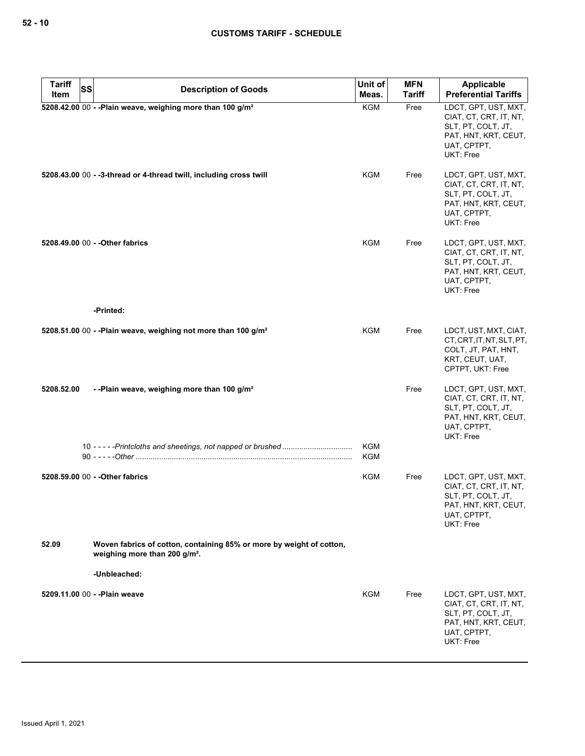| <b>Tariff</b><br><b>SS</b> | <b>Description of Goods</b>                                                                                       | Unit of                  | <b>MFN</b>    | Applicable                                                                                                               |
|----------------------------|-------------------------------------------------------------------------------------------------------------------|--------------------------|---------------|--------------------------------------------------------------------------------------------------------------------------|
| Item                       |                                                                                                                   | Meas.                    | <b>Tariff</b> | <b>Preferential Tariffs</b>                                                                                              |
|                            | 5208.42.00 00 - - Plain weave, weighing more than 100 g/m <sup>2</sup>                                            | <b>KGM</b>               | Free          | LDCT, GPT, UST, MXT,<br>CIAT, CT, CRT, IT, NT,<br>SLT, PT, COLT, JT,<br>PAT, HNT, KRT, CEUT,<br>UAT, CPTPT,<br>UKT: Free |
|                            | 5208.43.00 00 - -3-thread or 4-thread twill, including cross twill                                                | KGM                      | Free          | LDCT, GPT, UST, MXT,<br>CIAT, CT, CRT, IT, NT,<br>SLT, PT, COLT, JT,<br>PAT, HNT, KRT, CEUT,<br>UAT, CPTPT,<br>UKT: Free |
|                            | 5208.49.00 00 - - Other fabrics                                                                                   | KGM                      | Free          | LDCT, GPT, UST, MXT,<br>CIAT, CT, CRT, IT, NT,<br>SLT, PT, COLT, JT,<br>PAT, HNT, KRT, CEUT,<br>UAT, CPTPT,<br>UKT: Free |
|                            | -Printed:                                                                                                         |                          |               |                                                                                                                          |
|                            | 5208.51.00 00 - - Plain weave, weighing not more than 100 g/m <sup>2</sup>                                        | KGM                      | Free          | LDCT, UST, MXT, CIAT,<br>CT, CRT, IT, NT, SLT, PT,<br>COLT, JT, PAT, HNT,<br>KRT, CEUT, UAT,<br>CPTPT, UKT: Free         |
| 5208.52.00                 | --Plain weave, weighing more than 100 g/m <sup>2</sup>                                                            |                          | Free          | LDCT, GPT, UST, MXT,<br>CIAT, CT, CRT, IT, NT,<br>SLT, PT, COLT, JT,<br>PAT, HNT, KRT, CEUT,<br>UAT, CPTPT,<br>UKT: Free |
|                            |                                                                                                                   | <b>KGM</b><br><b>KGM</b> |               |                                                                                                                          |
|                            | 5208.59.00 00 - - Other fabrics                                                                                   | KGM                      | Free          | LDCT, GPT, UST, MXT,<br>CIAT, CT, CRT, IT, NT,<br>SLT, PT, COLT, JT,<br>PAT, HNT, KRT, CEUT,<br>UAT, CPTPT,<br>UKT: Free |
| 52.09                      | Woven fabrics of cotton, containing 85% or more by weight of cotton,<br>weighing more than 200 g/m <sup>2</sup> . |                          |               |                                                                                                                          |
|                            | -Unbleached:                                                                                                      |                          |               |                                                                                                                          |
|                            | 5209.11.00 00 - - Plain weave                                                                                     | KGM                      | Free          | LDCT, GPT, UST, MXT,<br>CIAT, CT, CRT, IT, NT,<br>SLT, PT, COLT, JT,<br>PAT, HNT, KRT, CEUT,<br>UAT, CPTPT,<br>UKT: Free |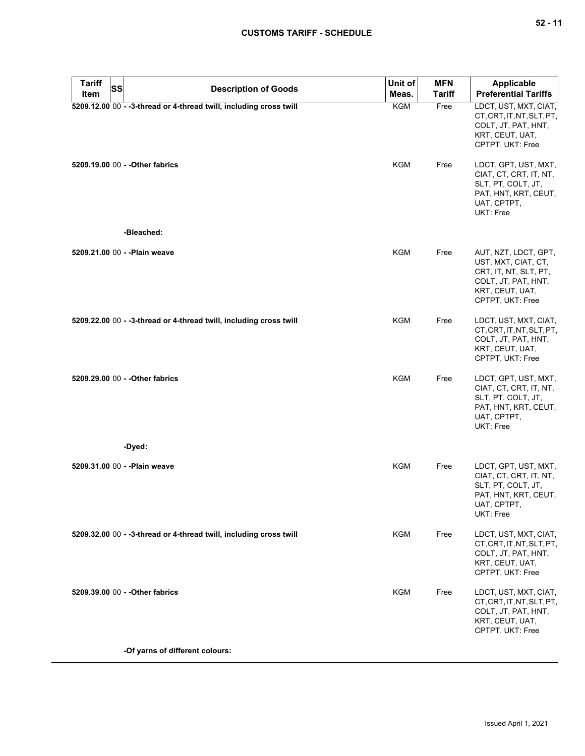| <b>Tariff</b><br><b>SS</b><br>Item | <b>Description of Goods</b>                                        | Unit of<br>Meas. | <b>MFN</b><br><b>Tariff</b> | Applicable<br><b>Preferential Tariffs</b>                                                                                          |
|------------------------------------|--------------------------------------------------------------------|------------------|-----------------------------|------------------------------------------------------------------------------------------------------------------------------------|
|                                    | 5209.12.00 00 - -3-thread or 4-thread twill, including cross twill | <b>KGM</b>       | Free                        | LDCT, UST, MXT, CIAT,<br>CT, CRT, IT, NT, SLT, PT,<br>COLT, JT, PAT, HNT,<br>KRT, CEUT, UAT,<br>CPTPT, UKT: Free                   |
|                                    | 5209.19.00 00 - - Other fabrics                                    | <b>KGM</b>       | Free                        | LDCT, GPT, UST, MXT,<br>CIAT, CT, CRT, IT, NT,<br>SLT, PT, COLT, JT,<br>PAT, HNT, KRT, CEUT,<br>UAT, CPTPT,<br>UKT: Free           |
|                                    | -Bleached:                                                         |                  |                             |                                                                                                                                    |
| 5209.21.00 00 - - Plain weave      |                                                                    | <b>KGM</b>       | Free                        | AUT, NZT, LDCT, GPT,<br>UST, MXT, CIAT, CT,<br>CRT, IT, NT, SLT, PT,<br>COLT, JT, PAT, HNT,<br>KRT, CEUT, UAT,<br>CPTPT, UKT: Free |
|                                    | 5209.22.00 00 - -3-thread or 4-thread twill, including cross twill | <b>KGM</b>       | Free                        | LDCT, UST, MXT, CIAT,<br>CT, CRT, IT, NT, SLT, PT,<br>COLT, JT, PAT, HNT,<br>KRT, CEUT, UAT,<br>CPTPT, UKT: Free                   |
|                                    | 5209.29.00 00 - - Other fabrics                                    | <b>KGM</b>       | Free                        | LDCT, GPT, UST, MXT,<br>CIAT, CT, CRT, IT, NT,<br>SLT, PT, COLT, JT,<br>PAT, HNT, KRT, CEUT,<br>UAT, CPTPT,<br>UKT: Free           |
|                                    | -Dyed:                                                             |                  |                             |                                                                                                                                    |
| 5209.31.00 00 - - Plain weave      |                                                                    | <b>KGM</b>       | Free                        | LDCT, GPT, UST, MXT,<br>CIAT, CT, CRT, IT, NT,<br>SLT, PT, COLT, JT,<br>PAT, HNT, KRT, CEUT,<br>UAI, CPIPI,<br>UKT: Free           |
|                                    | 5209.32.00 00 - -3-thread or 4-thread twill, including cross twill | KGM              | Free                        | LDCT, UST, MXT, CIAT,<br>CT, CRT, IT, NT, SLT, PT,<br>COLT, JT, PAT, HNT,<br>KRT, CEUT, UAT,<br>CPTPT, UKT: Free                   |
|                                    | 5209.39.00 00 - - Other fabrics                                    | <b>KGM</b>       | Free                        | LDCT, UST, MXT, CIAT,<br>CT, CRT, IT, NT, SLT, PT,<br>COLT, JT, PAT, HNT,<br>KRT, CEUT, UAT,<br>CPTPT, UKT: Free                   |
|                                    | -Of yarns of different colours:                                    |                  |                             |                                                                                                                                    |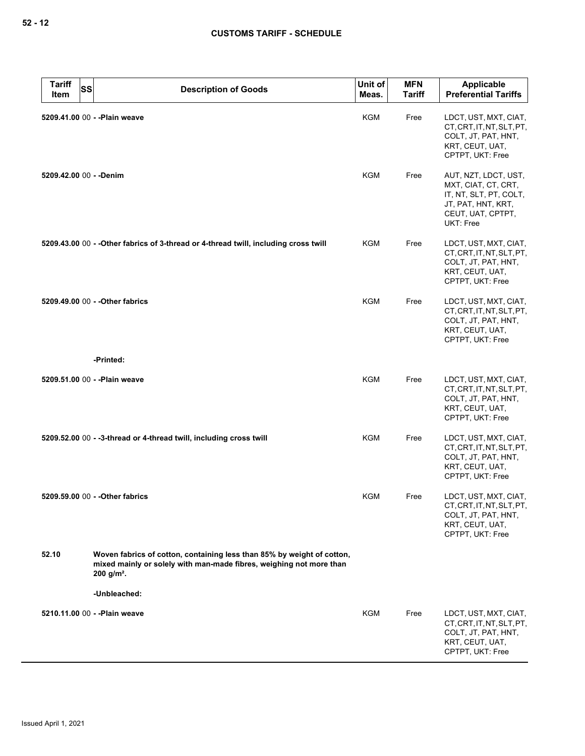| <b>Tariff</b><br><b>SS</b><br>Item | <b>Description of Goods</b>                                                                                                                                               | Unit of<br>Meas. | <b>MFN</b><br><b>Tariff</b> | Applicable<br><b>Preferential Tariffs</b>                                                                                     |
|------------------------------------|---------------------------------------------------------------------------------------------------------------------------------------------------------------------------|------------------|-----------------------------|-------------------------------------------------------------------------------------------------------------------------------|
|                                    | 5209.41.00 00 - - Plain weave                                                                                                                                             | <b>KGM</b>       | Free                        | LDCT, UST, MXT, CIAT,<br>CT, CRT, IT, NT, SLT, PT,<br>COLT, JT, PAT, HNT,<br>KRT, CEUT, UAT,<br>CPTPT, UKT: Free              |
| 5209.42.00 00 - - Denim            |                                                                                                                                                                           | KGM              | Free                        | AUT, NZT, LDCT, UST,<br>MXT, CIAT, CT, CRT,<br>IT, NT, SLT, PT, COLT,<br>JT, PAT, HNT, KRT,<br>CEUT, UAT, CPTPT,<br>UKT: Free |
|                                    | 5209.43.00 00 - - Other fabrics of 3-thread or 4-thread twill, including cross twill                                                                                      | KGM              | Free                        | LDCT, UST, MXT, CIAT,<br>CT, CRT, IT, NT, SLT, PT,<br>COLT, JT, PAT, HNT,<br>KRT, CEUT, UAT,<br>CPTPT, UKT: Free              |
|                                    | 5209.49.00 00 - - Other fabrics                                                                                                                                           | KGM              | Free                        | LDCT, UST, MXT, CIAT,<br>CT, CRT, IT, NT, SLT, PT,<br>COLT, JT, PAT, HNT,<br>KRT, CEUT, UAT,<br>CPTPT, UKT: Free              |
|                                    | -Printed:                                                                                                                                                                 |                  |                             |                                                                                                                               |
|                                    | 5209.51.00 00 - - Plain weave                                                                                                                                             | <b>KGM</b>       | Free                        | LDCT, UST, MXT, CIAT,<br>CT, CRT, IT, NT, SLT, PT,<br>COLT, JT, PAT, HNT,<br>KRT, CEUT, UAT,<br>CPTPT, UKT: Free              |
|                                    | 5209.52.00 00 - -3-thread or 4-thread twill, including cross twill                                                                                                        | <b>KGM</b>       | Free                        | LDCT, UST, MXT, CIAT,<br>CT, CRT, IT, NT, SLT, PT,<br>COLT, JT, PAT, HNT,<br>KRT, CEUT, UAT,<br>CPTPT, UKT: Free              |
|                                    | 5209.59.00 00 - - Other fabrics                                                                                                                                           | KGM              | Free                        | LDCT, UST, MXT, CIAT,<br>CT, CRT, IT, NT, SLT, PT,<br>COLT, JT, PAT, HNT,<br>KRT, CEUT, UAT,<br>CPTPT, UKT: Free              |
| 52.10                              | Woven fabrics of cotton, containing less than 85% by weight of cotton,<br>mixed mainly or solely with man-made fibres, weighing not more than<br>$200$ g/m <sup>2</sup> . |                  |                             |                                                                                                                               |
|                                    | -Unbleached:                                                                                                                                                              |                  |                             |                                                                                                                               |
|                                    | 5210.11.00 00 - - Plain weave                                                                                                                                             | KGM              | Free                        | LDCT, UST, MXT, CIAT,<br>CT, CRT, IT, NT, SLT, PT,<br>COLT, JT, PAT, HNT,<br>KRT, CEUT, UAT,<br>CPTPT, UKT: Free              |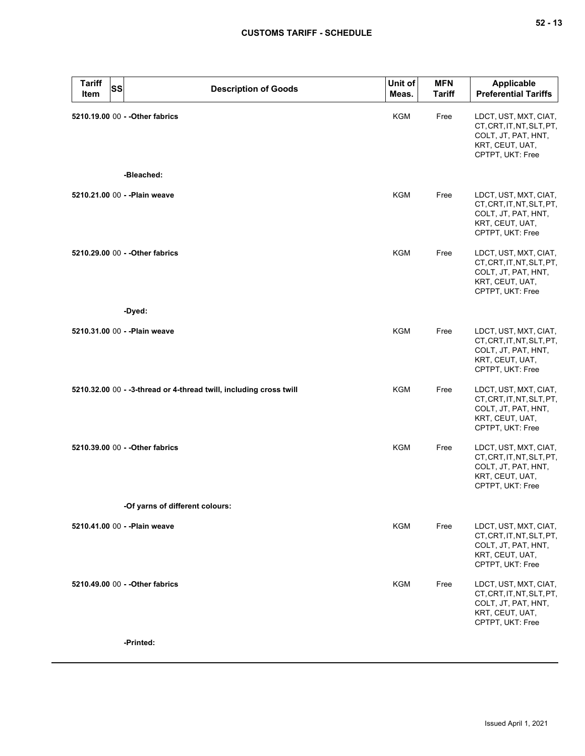| <b>Tariff</b><br>SS<br>Item   | <b>Description of Goods</b>                                        | Unit of<br>Meas. | <b>MFN</b><br><b>Tariff</b> | <b>Applicable</b><br><b>Preferential Tariffs</b>                                                                 |
|-------------------------------|--------------------------------------------------------------------|------------------|-----------------------------|------------------------------------------------------------------------------------------------------------------|
|                               | 5210.19.00 00 - - Other fabrics<br>-Bleached:                      | KGM              | Free                        | LDCT, UST, MXT, CIAT,<br>CT, CRT, IT, NT, SLT, PT,<br>COLT, JT, PAT, HNT,<br>KRT, CEUT, UAT,<br>CPTPT, UKT: Free |
|                               |                                                                    |                  |                             |                                                                                                                  |
| 5210.21.00 00 - - Plain weave |                                                                    | KGM              | Free                        | LDCT, UST, MXT, CIAT,<br>CT, CRT, IT, NT, SLT, PT,<br>COLT, JT, PAT, HNT,<br>KRT, CEUT, UAT,<br>CPTPT, UKT: Free |
|                               | 5210.29.00 00 - - Other fabrics                                    | <b>KGM</b>       | Free                        | LDCT, UST, MXT, CIAT,<br>CT, CRT, IT, NT, SLT, PT,<br>COLT, JT, PAT, HNT,<br>KRT, CEUT, UAT,<br>CPTPT, UKT: Free |
|                               | -Dyed:                                                             |                  |                             |                                                                                                                  |
| 5210.31.00 00 - - Plain weave |                                                                    | KGM              | Free                        | LDCT, UST, MXT, CIAT,<br>CT, CRT, IT, NT, SLT, PT,<br>COLT, JT, PAT, HNT,<br>KRT, CEUT, UAT,<br>CPTPT, UKT: Free |
|                               | 5210.32.00 00 - -3-thread or 4-thread twill, including cross twill | KGM              | Free                        | LDCT, UST, MXT, CIAT,<br>CT, CRT, IT, NT, SLT, PT,<br>COLT, JT, PAT, HNT,<br>KRT, CEUT, UAT,<br>CPTPT, UKT: Free |
|                               | 5210.39.00 00 - - Other fabrics                                    | <b>KGM</b>       | Free                        | LDCT, UST, MXT, CIAT,<br>CT, CRT, IT, NT, SLT, PT,<br>COLT, JT, PAT, HNT,<br>KRT, CEUT, UAT,<br>CPTPT, UKT: Free |
|                               | -Of yarns of different colours:                                    |                  |                             |                                                                                                                  |
| 5210.41.00 00 - - Plain weave |                                                                    | KGM              | Free                        | LDCT, UST, MXT, CIAT,<br>CT, CRT, IT, NT, SLT, PT,<br>COLT, JT, PAT, HNT,<br>KRT, CEUT, UAT,<br>CPTPT, UKT: Free |
|                               | 5210.49.00 00 - - Other fabrics                                    | KGM              | Free                        | LDCT, UST, MXT, CIAT,<br>CT.CRT.IT.NT.SLT.PT.<br>COLT, JT, PAT, HNT,<br>KRT, CEUT, UAT,<br>CPTPT, UKT: Free      |
|                               | -Printed:                                                          |                  |                             |                                                                                                                  |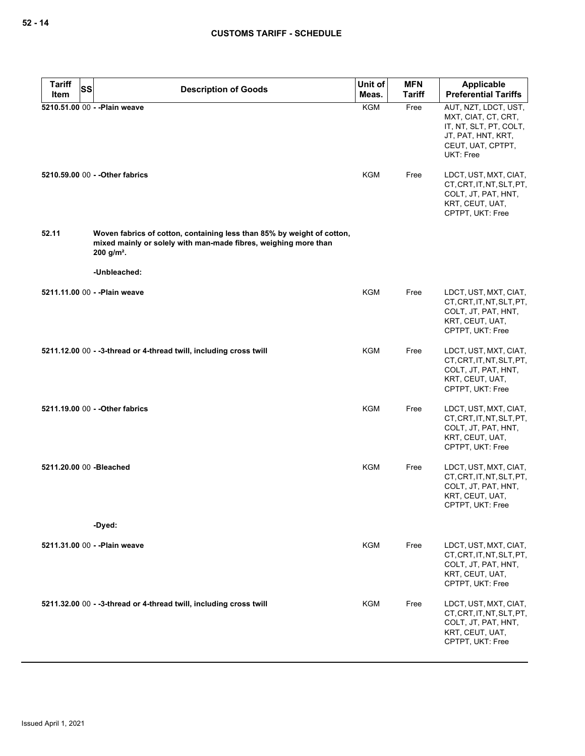| <b>Tariff</b><br><b>SS</b> | <b>Description of Goods</b>                                                                                                                                           | Unit of    | <b>MFN</b>    | Applicable                                                                                                                    |
|----------------------------|-----------------------------------------------------------------------------------------------------------------------------------------------------------------------|------------|---------------|-------------------------------------------------------------------------------------------------------------------------------|
| Item                       |                                                                                                                                                                       | Meas.      | <b>Tariff</b> | <b>Preferential Tariffs</b>                                                                                                   |
|                            | 5210.51.00 00 - - Plain weave                                                                                                                                         | <b>KGM</b> | Free          | AUT, NZT, LDCT, UST,<br>MXT, CIAT, CT, CRT,<br>IT, NT, SLT, PT, COLT,<br>JT, PAT, HNT, KRT,<br>CEUT, UAT, CPTPT,<br>UKT: Free |
|                            | 5210.59.00 00 - - Other fabrics                                                                                                                                       | KGM        | Free          | LDCT, UST, MXT, CIAT,<br>CT, CRT, IT, NT, SLT, PT,<br>COLT, JT, PAT, HNT,<br>KRT, CEUT, UAT,<br>CPTPT, UKT: Free              |
| 52.11                      | Woven fabrics of cotton, containing less than 85% by weight of cotton,<br>mixed mainly or solely with man-made fibres, weighing more than<br>$200$ g/m <sup>2</sup> . |            |               |                                                                                                                               |
|                            | -Unbleached:                                                                                                                                                          |            |               |                                                                                                                               |
|                            | 5211.11.00 00 - - Plain weave                                                                                                                                         | KGM        | Free          | LDCT, UST, MXT, CIAT,<br>CT, CRT, IT, NT, SLT, PT,<br>COLT, JT, PAT, HNT,<br>KRT, CEUT, UAT,<br>CPTPT, UKT: Free              |
|                            | 5211.12.00 00 - -3-thread or 4-thread twill, including cross twill                                                                                                    | <b>KGM</b> | Free          | LDCT, UST, MXT, CIAT,<br>CT, CRT, IT, NT, SLT, PT,<br>COLT, JT, PAT, HNT,<br>KRT, CEUT, UAT,<br>CPTPT, UKT: Free              |
|                            | 5211.19.00 00 - - Other fabrics                                                                                                                                       | <b>KGM</b> | Free          | LDCT, UST, MXT, CIAT,<br>CT, CRT, IT, NT, SLT, PT,<br>COLT, JT, PAT, HNT,<br>KRT, CEUT, UAT,<br>CPTPT, UKT: Free              |
| 5211.20.00 00 -Bleached    |                                                                                                                                                                       | <b>KGM</b> | Free          | LDCT, UST, MXT, CIAT,<br>CT, CRT, IT, NT, SLT, PT,<br>COLT, JT, PAT, HNT,<br>KRT, CEUT, UAT,<br>CPTPT, UKT: Free              |
|                            | -Dyed:                                                                                                                                                                |            |               |                                                                                                                               |
|                            | 5211.31.00 00 - - Plain weave                                                                                                                                         | <b>KGM</b> | Free          | LDCT, UST, MXT, CIAT,<br>CT, CRT, IT, NT, SLT, PT,<br>COLT, JT, PAT, HNT,<br>KRT, CEUT, UAT,<br>CPTPT, UKT: Free              |
|                            | 5211.32.00 00 - -3-thread or 4-thread twill, including cross twill                                                                                                    | KGM        | Free          | LDCT, UST, MXT, CIAT,<br>CT, CRT, IT, NT, SLT, PT,<br>COLT, JT, PAT, HNT,<br>KRT, CEUT, UAT,<br>CPTPT, UKT: Free              |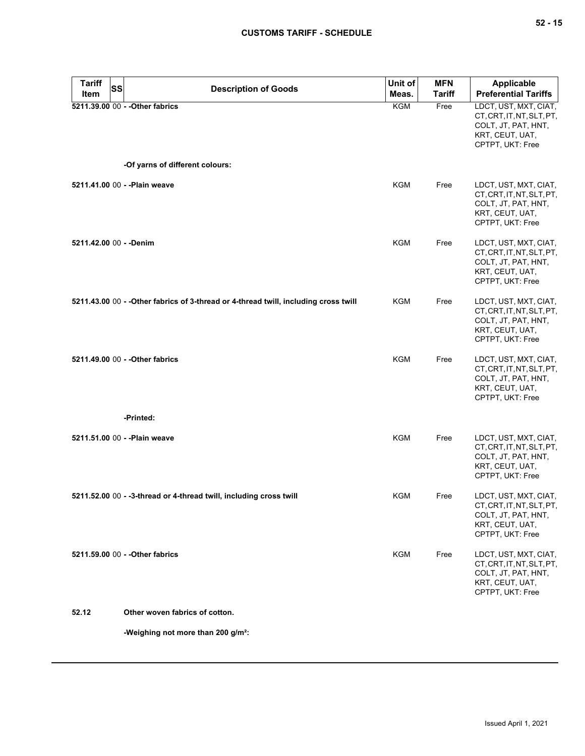| <b>Tariff</b><br><b>SS</b><br><b>Item</b> | <b>Description of Goods</b>                                                          | Unit of<br>Meas. | <b>MFN</b><br><b>Tariff</b> | <b>Applicable</b><br><b>Preferential Tariffs</b>                                                                 |
|-------------------------------------------|--------------------------------------------------------------------------------------|------------------|-----------------------------|------------------------------------------------------------------------------------------------------------------|
|                                           | 5211.39.00 00 - - Other fabrics                                                      | <b>KGM</b>       | Free                        | LDCT, UST, MXT, CIAT,<br>CT, CRT, IT, NT, SLT, PT,<br>COLT, JT, PAT, HNT,<br>KRT, CEUT, UAT,<br>CPTPT, UKT: Free |
|                                           | -Of yarns of different colours:                                                      |                  |                             |                                                                                                                  |
|                                           | 5211.41.00 00 - - Plain weave                                                        | <b>KGM</b>       | Free                        | LDCT, UST, MXT, CIAT,<br>CT, CRT, IT, NT, SLT, PT,<br>COLT, JT, PAT, HNT,<br>KRT, CEUT, UAT,<br>CPTPT, UKT: Free |
| 5211.42.00 00 - - Denim                   |                                                                                      | <b>KGM</b>       | Free                        | LDCT, UST, MXT, CIAT,<br>CT, CRT, IT, NT, SLT, PT,<br>COLT, JT, PAT, HNT,<br>KRT, CEUT, UAT,<br>CPTPT, UKT: Free |
|                                           | 5211.43.00 00 - - Other fabrics of 3-thread or 4-thread twill, including cross twill | KGM              | Free                        | LDCT, UST, MXT, CIAT,<br>CT, CRT, IT, NT, SLT, PT,<br>COLT, JT, PAT, HNT,<br>KRT, CEUT, UAT,<br>CPTPT, UKT: Free |
|                                           | 5211.49.00 00 - - Other fabrics                                                      | <b>KGM</b>       | Free                        | LDCT, UST, MXT, CIAT,<br>CT, CRT, IT, NT, SLT, PT,<br>COLT, JT, PAT, HNT,<br>KRT, CEUT, UAT,<br>CPTPT, UKT: Free |
|                                           | -Printed:                                                                            |                  |                             |                                                                                                                  |
|                                           | 5211.51.00 00 - - Plain weave                                                        | <b>KGM</b>       | Free                        | LDCT, UST, MXT, CIAT,<br>CT, CRT, IT, NT, SLT, PT,<br>COLT, JT, PAT, HNT,<br>KRT, CEUT, UAT,<br>CPTPT, UKT: Free |
|                                           | 5211.52.00 00 - -3-thread or 4-thread twill, including cross twill                   | KGM              | Free                        | LDCT, UST, MXT, CIAT,<br>CT, CRT, IT, NT, SLT, PT,<br>COLT, JT, PAT, HNT,<br>KRT, CEUT, UAT,<br>CPTPT, UKT: Free |
|                                           | 5211.59.00 00 - - Other fabrics                                                      | KGM              | Free                        | LDCT, UST, MXT, CIAT,<br>CT, CRT, IT, NT, SLT, PT,<br>COLT, JT, PAT, HNT,<br>KRT, CEUT, UAT,<br>CPTPT, UKT: Free |
| 52.12                                     | Other woven fabrics of cotton.                                                       |                  |                             |                                                                                                                  |
|                                           | -Weighing not more than 200 g/m <sup>2</sup> :                                       |                  |                             |                                                                                                                  |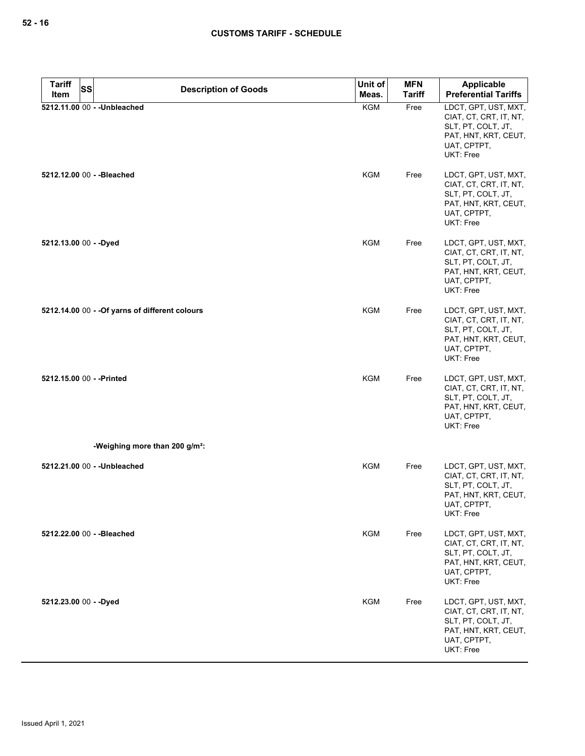| <b>Tariff</b>             | SS<br><b>Description of Goods</b>               | Unit of    | <b>MFN</b>    | <b>Applicable</b>                                                                                                               |
|---------------------------|-------------------------------------------------|------------|---------------|---------------------------------------------------------------------------------------------------------------------------------|
| Item                      |                                                 | Meas.      | <b>Tariff</b> | <b>Preferential Tariffs</b>                                                                                                     |
|                           | 5212.11.00 00 - - Unbleached                    | <b>KGM</b> | Free          | LDCT, GPT, UST, MXT,<br>CIAT, CT, CRT, IT, NT,<br>SLT, PT, COLT, JT,<br>PAT, HNT, KRT, CEUT,<br>UAT, CPTPT,<br><b>UKT: Free</b> |
|                           | 5212.12.00 00 - - Bleached                      | <b>KGM</b> | Free          | LDCT, GPT, UST, MXT,<br>CIAT, CT, CRT, IT, NT,<br>SLT, PT, COLT, JT,<br>PAT, HNT, KRT, CEUT,<br>UAT, CPTPT,<br><b>UKT: Free</b> |
| 5212.13.00 00 - - Dyed    |                                                 | KGM        | Free          | LDCT, GPT, UST, MXT,<br>CIAT, CT, CRT, IT, NT,<br>SLT, PT, COLT, JT,<br>PAT, HNT, KRT, CEUT,<br>UAT, CPTPT,<br><b>UKT: Free</b> |
|                           | 5212.14.00 00 - - Of yarns of different colours | <b>KGM</b> | Free          | LDCT, GPT, UST, MXT,<br>CIAT, CT, CRT, IT, NT,<br>SLT, PT, COLT, JT,<br>PAT, HNT, KRT, CEUT,<br>UAT, CPTPT,<br>UKT: Free        |
| 5212.15.00 00 - - Printed |                                                 | <b>KGM</b> | Free          | LDCT, GPT, UST, MXT,<br>CIAT, CT, CRT, IT, NT,<br>SLT, PT, COLT, JT,<br>PAT, HNT, KRT, CEUT,<br>UAT, CPTPT,<br>UKT: Free        |
|                           | -Weighing more than 200 g/m <sup>2</sup> :      |            |               |                                                                                                                                 |
|                           | 5212.21.00 00 - - Unbleached                    | <b>KGM</b> | Free          | LDCT, GPT, UST, MXT,<br>CIAT, CT, CRT, IT, NT,<br>SLT, PT, COLT, JT,<br>PAT, HNT, KRT, CEUT,<br>UAT, CPTPT,<br>UKT: Free        |
|                           | 5212.22.00 00 - - Bleached                      | <b>KGM</b> | Free          | LDCT, GPT, UST, MXT,<br>CIAT, CT, CRT, IT, NT,<br>SLT, PT, COLT, JT,<br>PAT, HNT, KRT, CEUT,<br>UAT, CPTPT,<br>UKT: Free        |
| 5212.23.00 00 - - Dyed    |                                                 | <b>KGM</b> | Free          | LDCT, GPT, UST, MXT,<br>CIAT, CT, CRT, IT, NT,<br>SLT, PT, COLT, JT,<br>PAT, HNT, KRT, CEUT,<br>UAT, CPTPT,<br>UKT: Free        |